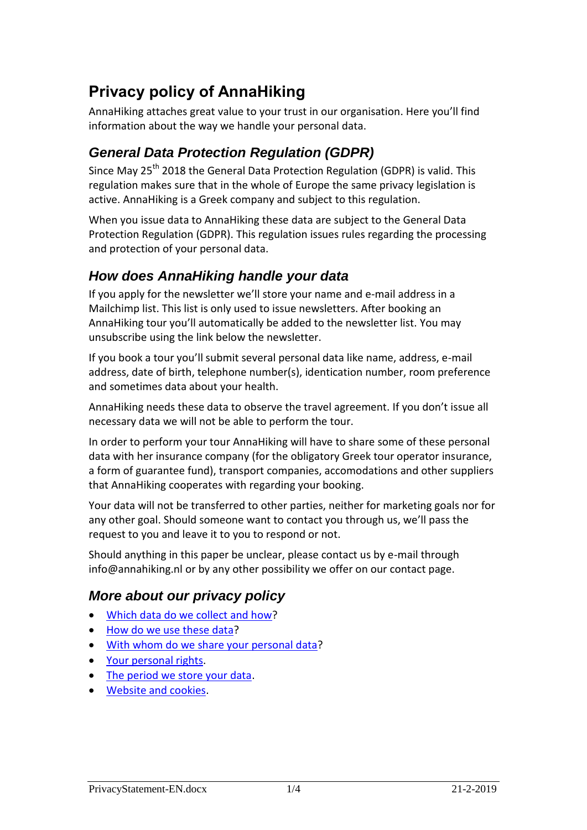# **Privacy policy of AnnaHiking**

AnnaHiking attaches great value to your trust in our organisation. Here you'll find information about the way we handle your personal data.

# *General Data Protection Regulation (GDPR)*

Since May 25<sup>th</sup> 2018 the General Data Protection Regulation (GDPR) is valid. This regulation makes sure that in the whole of Europe the same privacy legislation is active. AnnaHiking is a Greek company and subject to this regulation.

When you issue data to AnnaHiking these data are subject to the General Data Protection Regulation (GDPR). This regulation issues rules regarding the processing and protection of your personal data.

# *How does AnnaHiking handle your data*

If you apply for the newsletter we'll store your name and e-mail address in a Mailchimp list. This list is only used to issue newsletters. After booking an AnnaHiking tour you'll automatically be added to the newsletter list. You may unsubscribe using the link below the newsletter.

If you book a tour you'll submit several personal data like name, address, e-mail address, date of birth, telephone number(s), identication number, room preference and sometimes data about your health.

AnnaHiking needs these data to observe the travel agreement. If you don't issue all necessary data we will not be able to perform the tour.

In order to perform your tour AnnaHiking will have to share some of these personal data with her insurance company (for the obligatory Greek tour operator insurance, a form of guarantee fund), transport companies, accomodations and other suppliers that AnnaHiking cooperates with regarding your booking.

Your data will not be transferred to other parties, neither for marketing goals nor for any other goal. Should someone want to contact you through us, we'll pass the request to you and leave it to you to respond or not.

Should anything in this paper be unclear, please contact us by e-mail through [info@annahiking.nl](mailto:info@annahiking.nl) or by any other possibility we offer on our contact page.

## *More about our privacy policy*

- [Which data do we collect and how?](#page-1-0)
- [How do we use](#page-1-1) these data?
- [With whom do we share your personal data?](#page-2-0)
- [Your personal rights.](#page-2-1)
- [The period we store your data.](#page-3-0)
- [Website and cookies.](#page-3-1)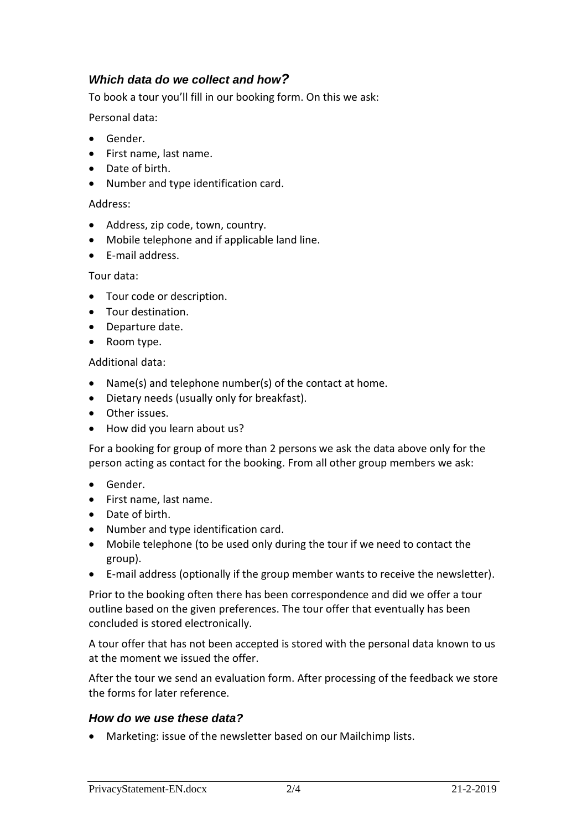### <span id="page-1-0"></span>*Which data do we collect and how?*

To book a tour you'll fill in our booking form. On this we ask:

Personal data:

- Gender.
- First name, last name.
- Date of birth.
- Number and type identification card.

#### Address:

- Address, zip code, town, country.
- Mobile telephone and if applicable land line.
- E-mail address.

#### Tour data:

- Tour code or description.
- Tour destination.
- Departure date.
- Room type.

#### Additional data:

- Name(s) and telephone number(s) of the contact at home.
- Dietary needs (usually only for breakfast).
- Other issues.
- How did you learn about us?

For a booking for group of more than 2 persons we ask the data above only for the person acting as contact for the booking. From all other group members we ask:

- Gender.
- First name, last name.
- Date of birth.
- Number and type identification card.
- Mobile telephone (to be used only during the tour if we need to contact the group).
- E-mail address (optionally if the group member wants to receive the newsletter).

Prior to the booking often there has been correspondence and did we offer a tour outline based on the given preferences. The tour offer that eventually has been concluded is stored electronically.

A tour offer that has not been accepted is stored with the personal data known to us at the moment we issued the offer.

After the tour we send an evaluation form. After processing of the feedback we store the forms for later reference.

#### <span id="page-1-1"></span>*How do we use these data?*

Marketing: issue of the newsletter based on our Mailchimp lists.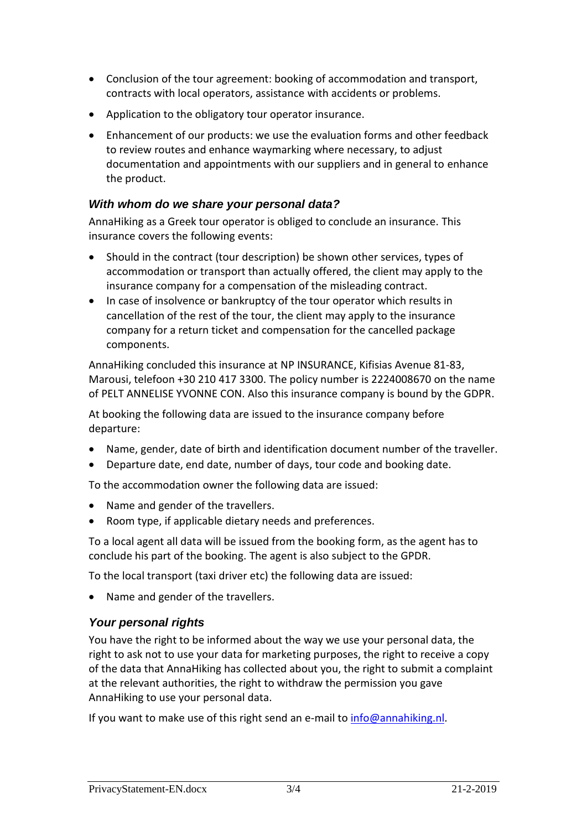- Conclusion of the tour agreement: booking of accommodation and transport, contracts with local operators, assistance with accidents or problems.
- Application to the obligatory tour operator insurance.
- Enhancement of our products: we use the evaluation forms and other feedback to review routes and enhance waymarking where necessary, to adjust documentation and appointments with our suppliers and in general to enhance the product.

#### <span id="page-2-0"></span>*With whom do we share your personal data?*

AnnaHiking as a Greek tour operator is obliged to conclude an insurance. This insurance covers the following events:

- Should in the contract (tour description) be shown other services, types of accommodation or transport than actually offered, the client may apply to the insurance company for a compensation of the misleading contract.
- In case of insolvence or bankruptcy of the tour operator which results in cancellation of the rest of the tour, the client may apply to the insurance company for a return ticket and compensation for the cancelled package components.

AnnaHiking concluded this insurance at NP INSURANCE, Kifisias Avenue 81-83, Marousi, telefoon +30 210 417 3300. The policy number is 2224008670 on the name of PELT ANNELISE YVONNE CON. Also this insurance company is bound by the GDPR.

At booking the following data are issued to the insurance company before departure:

- Name, gender, date of birth and identification document number of the traveller.
- Departure date, end date, number of days, tour code and booking date.

To the accommodation owner the following data are issued:

- Name and gender of the travellers.
- Room type, if applicable dietary needs and preferences.

To a local agent all data will be issued from the booking form, as the agent has to conclude his part of the booking. The agent is also subject to the GPDR.

To the local transport (taxi driver etc) the following data are issued:

• Name and gender of the travellers.

#### <span id="page-2-1"></span>*Your personal rights*

You have the right to be informed about the way we use your personal data, the right to ask not to use your data for marketing purposes, the right to receive a copy of the data that AnnaHiking has collected about you, the right to submit a complaint at the relevant authorities, the right to withdraw the permission you gave AnnaHiking to use your personal data.

If you want to make use of this right send an e-mail to  $info@annahiking.nl$ .